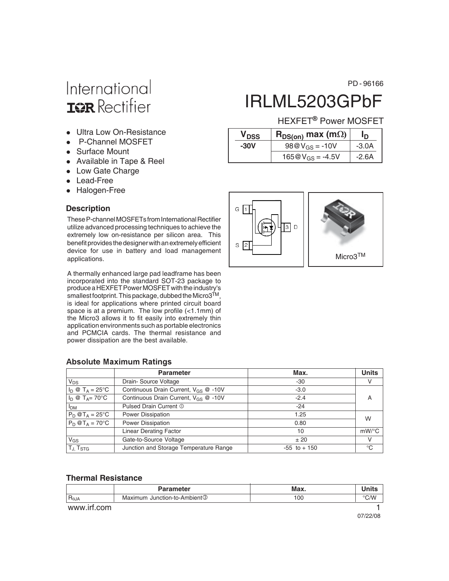## International **ISR** Rectifier

- Ultra Low On-Resistance
- P-Channel MOSFET
- Surface Mount
- Available in Tape & Reel
- Low Gate Charge
- Lead-Free
- Halogen-Free

#### **Description**

These P-channel MOSFETs from International Rectifier utilize advanced processing techniques to achieve the extremely low on-resistance per silicon area. This benefit provides the designer with an extremely efficient device for use in battery and load management applications.

A thermally enhanced large pad leadframe has been incorporated into the standard SOT-23 package to produce a HEXFET Power MOSFET with the industry's smallest footprint. This package, dubbed the Micro3<sup>TM</sup>, is ideal for applications where printed circuit board space is at a premium. The low profile (<1.1mm) of the Micro3 allows it to fit easily into extremely thin application environments such as portable electronics and PCMCIA cards. The thermal resistance and power dissipation are the best available.

#### **Absolute Maximum Ratings**

|                                   | <b>Parameter</b>                                 | Max.            | <b>Units</b> |
|-----------------------------------|--------------------------------------------------|-----------------|--------------|
| $V_{DS}$                          | Drain-Source Voltage                             | -30             | v            |
| $I_D \otimes T_A = 25$ °C         | Continuous Drain Current, V <sub>GS</sub> @ -10V | $-3.0$          |              |
| $I_D \otimes T_A = 70^{\circ}C$   | Continuous Drain Current, V <sub>GS</sub> @ -10V | $-2.4$          | A            |
| I <sub>DM</sub>                   | Pulsed Drain Current 1                           | $-24$           |              |
| $P_D @T_A = 25^\circ C$           | Power Dissipation                                | 1.25            | W            |
| $P_D @T_A = 70^{\circ}C$          | Power Dissipation                                | 0.80            |              |
|                                   | <b>Linear Derating Factor</b>                    | 10              | $mW$ /°C     |
| $V_{GS}$                          | Gate-to-Source Voltage                           | ±20             | V            |
| T <sub>J</sub> , T <sub>STG</sub> | Junction and Storage Temperature Range           | $-55$ to $+150$ | °C           |

#### **Thermal Resistance**

|                          | <b>Parameter</b>                         | Max. |      |
|--------------------------|------------------------------------------|------|------|
| $R_{\theta \mathsf{JA}}$ | Maximum Junction-to-Ambient <sup>3</sup> | 100  | °C/W |
| www.irt.com              |                                          |      |      |

PD - 96166

## IRLML5203GPbF

#### HEXFET<sup>®</sup> Power MOSFET

|      | V <sub>DSS</sub> | $R_{DS(on)}$ max (m $\Omega$ ) | חו      |  |
|------|------------------|--------------------------------|---------|--|
| -30V |                  | $98@V_{GS} = -10V$             | $-3.0A$ |  |
|      |                  | $165@V_{GS} = -4.5V$           | $-2.6A$ |  |

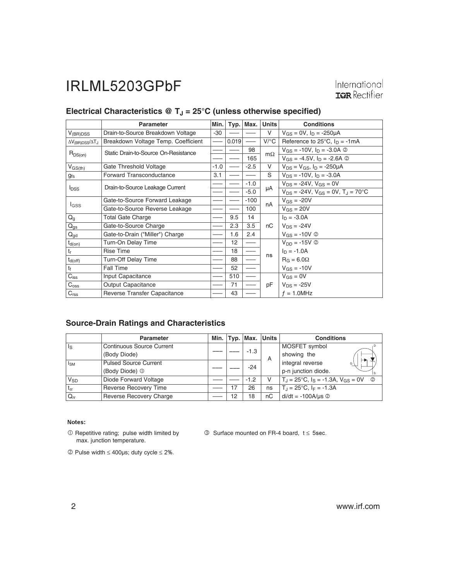International<br> **ISR** Rectifier

#### Electrical Characteristics @ T<sub>J</sub> = 25°C (unless otherwise specified)

|                                        | Parameter                            | Min.   | Typ.  | Max.   | <b>Units</b> | <b>Conditions</b>                                       |  |
|----------------------------------------|--------------------------------------|--------|-------|--------|--------------|---------------------------------------------------------|--|
| $V_{(BR)DSS}$                          | Drain-to-Source Breakdown Voltage    | $-30$  |       |        | V            | $V_{GS} = 0V$ , $I_D = -250\mu A$                       |  |
| $\Delta V_{\text{(BR)DSS}}/\Delta T_J$ | Breakdown Voltage Temp. Coefficient  |        | 0.019 |        | $V$ /°C      | Reference to $25^{\circ}$ C, $I_D = -1mA$               |  |
| $R_{DS(on)}$                           | Static Drain-to-Source On-Resistance |        |       | 98     | $m\Omega$    | $V_{GS} = -10V$ , $I_D = -3.0A$ ②                       |  |
|                                        |                                      |        |       | 165    |              | $V_{GS} = -4.5V$ , $I_D = -2.6A$ ©                      |  |
| $V_{GS(th)}$                           | Gate Threshold Voltage               | $-1.0$ |       | $-2.5$ | V            | $V_{DS} = V_{GS}$ , $I_D = -250 \mu A$                  |  |
| gfs                                    | Forward Transconductance             | 3.1    |       |        | S            | $V_{DS}$ = -10V, $I_D$ = -3.0A                          |  |
|                                        | Drain-to-Source Leakage Current      |        |       | $-1.0$ |              | $V_{DS} = -24V$ , $V_{GS} = 0V$                         |  |
| <b>I</b> <sub>DSS</sub>                |                                      |        |       | $-5.0$ | μA           | $V_{DS} = -24V$ , $V_{GS} = 0V$ , $T_{J} = 70^{\circ}C$ |  |
| <b>I</b> GSS                           | Gate-to-Source Forward Leakage       |        |       | $-100$ | nA           | $V_{GS} = -20V$                                         |  |
|                                        | Gate-to-Source Reverse Leakage       |        |       | 100    |              | $V_{GS} = 20V$                                          |  |
| $Q_{g}$                                | <b>Total Gate Charge</b>             |        | 9.5   | 14     |              | $I_D = -3.0A$                                           |  |
| $Q_{gs}$                               | Gate-to-Source Charge                |        | 2.3   | 3.5    | nC           | $V_{DS} = -24V$                                         |  |
| $Q_{gd}$                               | Gate-to-Drain ("Miller") Charge      |        | 1.6   | 2.4    |              | $V_{GS} = -10V$ ©                                       |  |
| $t_{d(on)}$                            | Turn-On Delay Time                   |        | 12    |        |              | $V_{DD} = -15V$ ②                                       |  |
| $t_r$                                  | Rise Time                            |        | 18    |        | ns           | $I_D = -1.0A$                                           |  |
| $t_{d(\text{off})}$                    | Turn-Off Delay Time                  |        | 88    |        |              | $R_G = 6.0\Omega$                                       |  |
| $t_f$                                  | <b>Fall Time</b>                     |        | 52    |        |              | $V_{GS} = -10V$                                         |  |
| $C_{iss}$                              | Input Capacitance                    |        | 510   |        |              | $V_{GS} = 0V$                                           |  |
| $C_{\rm oss}$                          | <b>Output Capacitance</b>            |        | 71    |        | pF           | $V_{DS} = -25V$                                         |  |
| $C_{\text{rss}}$                       | Reverse Transfer Capacitance         |        | 43    |        |              | $f = 1.0$ MHz                                           |  |

#### **Source-Drain Ratings and Characteristics**

|          | Parameter                        |  |    |        | Min. $Typ.$ Max. Units | <b>Conditions</b>                                     |             |  |  |  |  |  |                       |
|----------|----------------------------------|--|----|--------|------------------------|-------------------------------------------------------|-------------|--|--|--|--|--|-----------------------|
| ls       | <b>Continuous Source Current</b> |  |    |        |                        | MOSFET symbol                                         |             |  |  |  |  |  |                       |
|          | (Body Diode)                     |  |    |        | $-1.3$                 | A                                                     | showing the |  |  |  |  |  |                       |
| $I_{SM}$ | <b>Pulsed Source Current</b>     |  |    | $-24$  |                        |                                                       |             |  |  |  |  |  | integral reverse<br>G |
|          | (Body Diode) <sup>1</sup>        |  |    |        |                        | p-n junction diode.                                   |             |  |  |  |  |  |                       |
| $V_{SD}$ | Diode Forward Voltage            |  |    | $-1.2$ | v                      | $T_1 = 25^{\circ}C$ , $I_S = -1.3A$ , $V_{GS} = 0V$ © |             |  |  |  |  |  |                       |
| $t_{rr}$ | Reverse Recovery Time            |  | 17 | 26     | ns                     | $T_{\rm J}$ = 25°C, $I_F$ = -1.3A                     |             |  |  |  |  |  |                       |
| $Q_{rr}$ | Reverse Recovery Charge          |  | 12 | 18     | пC                     | $di/dt = -100A/\mu s$ 2                               |             |  |  |  |  |  |                       |

#### Notes:

- Repetitive rating; pulse width limited by max. junction temperature.

 $\circled{S}$  Surface mounted on FR-4 board,  $t \leq 5$ sec.

 $©$  Pulse width ≤ 400μs; duty cycle ≤ 2%.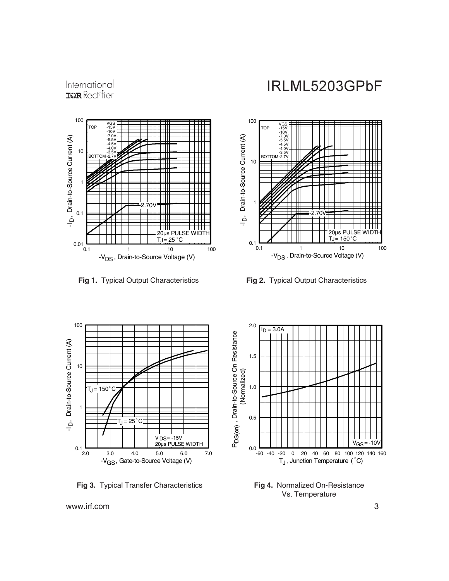

International **IGR** Rectifier

**Fig 1.** Typical Output Characteristics **Fig 2.** Typical Output Characteristics

## IRLML5203GPbF





**Fig 3.** Typical Transfer Characteristics



**Fig 4.** Normalized On-Resistance Vs. Temperature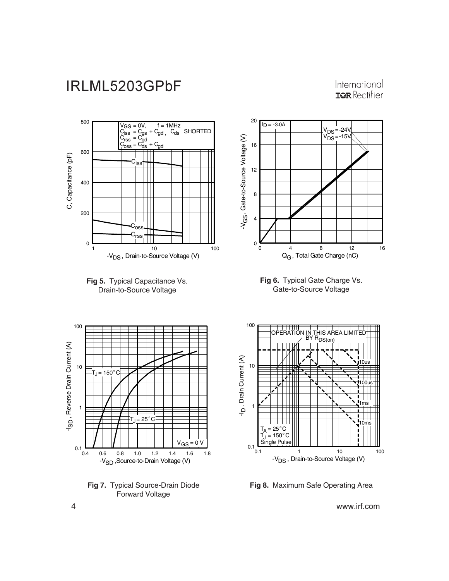International **ISPR** Rectifier







**Fig 6.** Typical Gate Charge Vs. Gate-to-Source Voltage



**Fig 7.** Typical Source-Drain Diode Forward Voltage



**Fig 8.** Maximum Safe Operating Area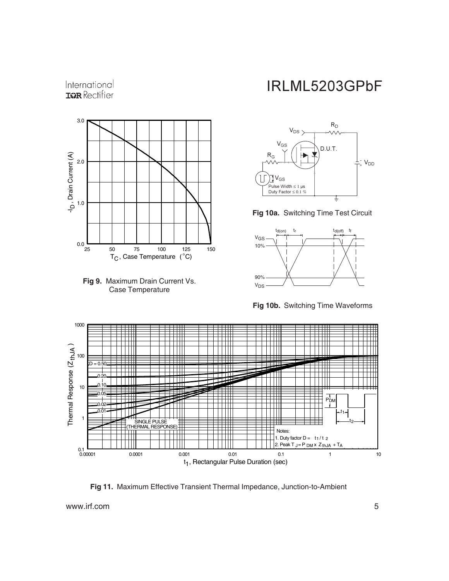#### International **IGR** Rectifier





## IRLML5203GPbF







**Fig 10b.** Switching Time Waveforms



**Fig 11.** Maximum Effective Transient Thermal Impedance, Junction-to-Ambient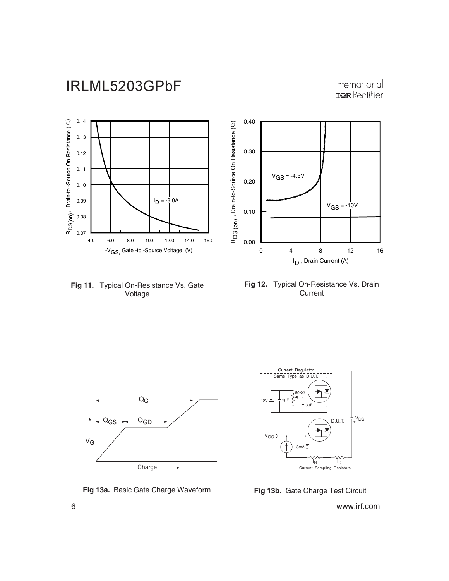International **ISPR** Rectifier



**Fig 11.** Typical On-Resistance Vs. Gate Voltage





**Fig 13a.** Basic Gate Charge Waveform **Fig 13b.** Gate Charge Test Circuit

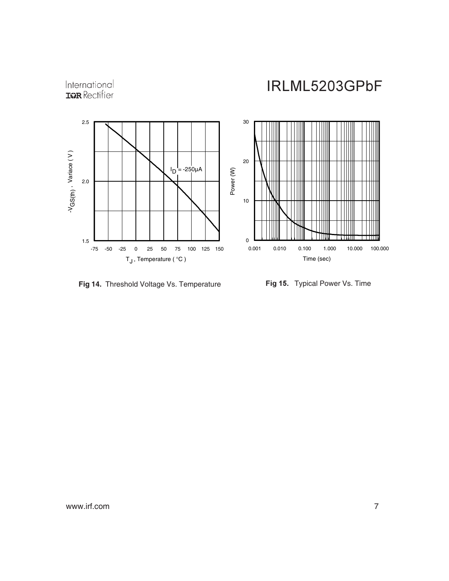# International<br>**IGR** Rectifier

IRLML5203GPbF



**Fig 14.** Threshold Voltage Vs. Temperature **-**

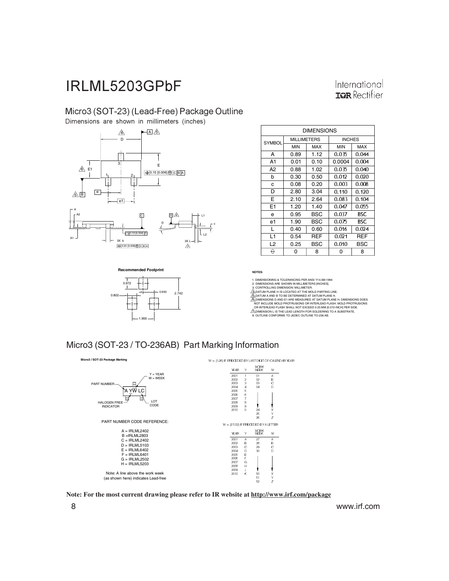#### International **IGR** Rectifier

#### Micro3 (SOT-23) (Lead-Free) Package Outline

Dimensions are shown in millimeters (inches)



 $0.972$ 

0.802

1.900

**Recommended Footprint**

| <b>DIMENSIONS</b> |                    |      |               |       |  |  |
|-------------------|--------------------|------|---------------|-------|--|--|
| <b>SYMBOL</b>     | <b>MILLIMETERS</b> |      | <b>INCHES</b> |       |  |  |
|                   | <b>MIN</b>         | MAX  | <b>MIN</b>    | MAX   |  |  |
| A                 | 0.89               | 1.12 | 0.035         | 0.044 |  |  |
| A <sub>1</sub>    | 0.01               | 0.10 | 0.0004        | 0.004 |  |  |
| A <sub>2</sub>    | 0.88               | 1.02 | 0.035         | 0.040 |  |  |
| b                 | 0.30               | 0.50 | 0.012         | 0.020 |  |  |
| C                 | 0.08               | 0.20 | 0.003         | 0.008 |  |  |
| D                 | 2.80               | 3.04 | 0.110         | 0.120 |  |  |
| E                 | 2.10               | 2.64 | 0.083         | 0.104 |  |  |
| E <sub>1</sub>    | 1.20               | 1.40 | 0.047         | 0.055 |  |  |
| e                 | 0.95               | BSC  | 0.037         | BSC   |  |  |
| e1                | 1.90               | BSC  | 0.075         | BSC   |  |  |
| L                 | 0.40               | 0.60 | 0.016         | 0.024 |  |  |
| L1                | 0.54               | REF  | 0.021         | REF   |  |  |
| L <sub>2</sub>    | 0.25               | BSC  | 0.010         | BSC   |  |  |
| ↔                 | 0                  | 8    | 0             | 8     |  |  |

**NOTES:**

c

1. DIMENSIONING & TOLERANCING PER ANSI Y14.5M-1994

2. DIMENSIONS ARE SHOWN IN MILLIMETERS [INCHES].<br>3. CONTROLLING DIMENSION: MILLIMETER.<br>4. DATUM PLANE H IS LOCATED AT THE MOLD PARTING LINE.

S), DATUM A AND BTO BE DETERMINED AT DATUM PLANE H.<br>G) OMENSIONS D AND E1 ARE MEASURED AT DATUM PLANE H. DIMENSIONS DOES<br>"NOT INCLUDE MOLD PROTRUSIONS OR INTERLEAD FLASH. MOLD PROTRUSIONS<br>"OR INTERLEAD FLASH SHALL NOT EXCE



 $-0.950$   $\frac{1}{2.742}$ 

**Micro3 / SOT-23 Package Marking** W = (1-26) IF PRECEDED BY LAST DIGIT OF CALENDAR YEAR WORK<br>WEEK YEAR γ W  $Y = YEAR$ 2001 1<br>2002 2 01<br>02 Α  $W = WEEK$ B PART NUMBER  $\Box$ 2003 3 03 C 2004 - 4<br>2005 - 5 04 D 'A <u>Y</u>W LC 2006<br>2007 6 Ę 7 LOT<br>CODE HALOGEN FREE — LOT 2008 E 2009 S<br>2010 C C 24 X, 25<br>26 γ **Z** PART NUMBER CODE REFERENCE:  $W = (27.52)$  IF PRECEDED BY A LETTER  $A = IRI$  MI 2402 WORK<br>WEEK W YEAR B =IRLML2803 C = IRLML2402 200 1 A 27 A 2002<br>2003 В 28<br>29 B D = IRLML5103 E = IRLML6402 Ç Ç 2004<br>2005 D 30 D F = IRLML6401 G = IRLML2502 Е -- F  $H = IRLML5203$ 2007<br>2008 G # 2009 J Note: A line above the work week --K 50 X<br>51 Y X, (as shown here) indicates Lead-free 52 Z

**Note: For the most current drawing please refer to IR website at http://www.irf.com/package**